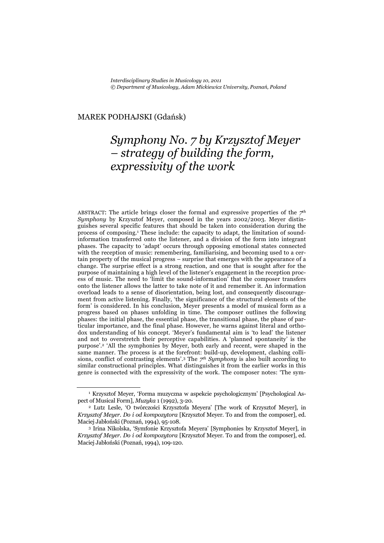#### MAREK PODHAJSKI (Gdańsk)

# *Symphony No. 7 by Krzysztof Meyer – strategy of building the form, expressivity of the work*

ABSTRACT: The article brings closer the formal and expressive properties of the *7th Symphony* by Krzysztof Meyer, composed in the years 2002/2003. Meyer distinguishes several specific features that should be taken into consideration during the process of composing.1 These include: the capacity to adapt, the limitation of soundinformation transferred onto the listener, and a division of the form into integrant phases. The capacity to 'adapt' occurs through opposing emotional states connected with the reception of music: remembering, familiarising, and becoming used to a certain property of the musical progress – surprise that emerges with the appearance of a change. The surprise effect is a strong reaction, and one that is sought after for the purpose of maintaining a high level of the listener's engagement in the reception process of music. The need to 'limit the sound-information' that the composer transfers onto the listener allows the latter to take note of it and remember it. An information overload leads to a sense of disorientation, being lost, and consequently discouragement from active listening. Finally, 'the significance of the structural elements of the form' is considered. In his conclusion, Meyer presents a model of musical form as a progress based on phases unfolding in time. The composer outlines the following phases: the initial phase, the essential phase, the transitional phase, the phase of particular importance, and the final phase. However, he warns against literal and orthodox understanding of his concept. 'Meyer's fundamental aim is 'to lead' the listener and not to overstretch their perceptive capabilities. A 'planned spontaneity' is the purpose'.2 'All the symphonies by Meyer, both early and recent, were shaped in the same manner. The process is at the forefront: build-up, development, clashing collisions, conflict of contrasting elements'.3 The *7th Symphony* is also built according to similar constructional principles. What distinguishes it from the earlier works in this genre is connected with the expressivity of the work. The composer notes: 'The sym-

<sup>1</sup> Krzysztof Meyer, 'Forma muzyczna w aspekcie psychologicznym' [Psychological Aspect of Musical Form], *Muzyka* 1 (1992), 3-20. 2 Lutz Lesle, 'O twórczości Krzysztofa Meyera' [The work of Krzysztof Meyer], in

*Krzysztof Meyer. Do i od kompozytora* [Krzysztof Meyer. To and from the composer], ed. Maciej Jabłoński (Poznań, 1994), 95-108. 3 Irina Nikolska, 'Symfonie Krzysztofa Meyera' [Symphonies by Krzysztof Meyer], in

*Krzysztof Meyer. Do i od kompozytora* [Krzysztof Meyer. To and from the composer], ed. Maciej Jabłoński (Poznań, 1994), 109-120.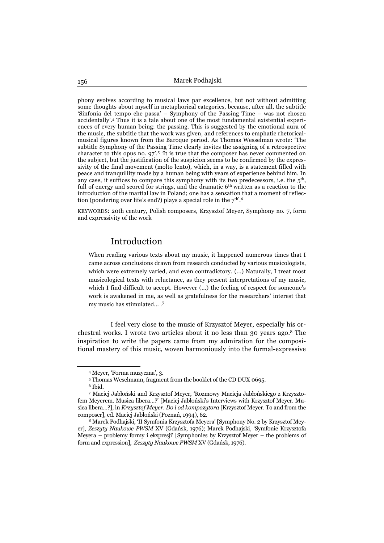phony evolves according to musical laws par excellence, but not without admitting some thoughts about myself in metaphorical categories, because, after all, the subtitle 'Sinfonia del tempo che passa' – Symphony of the Passing Time – was not chosen accidentally'.4 Thus it is a tale about one of the most fundamental existential experiences of every human being: the passing. This is suggested by the emotional aura of the music, the subtitle that the work was given, and references to emphatic rhetoricalmusical figures known from the Baroque period. As Thomas Wesselman wrote: 'The subtitle Symphony of the Passing Time clearly invites the assigning of a retrospective character to this opus no. 97'.5 'It is true that the composer has never commented on the subject, but the justification of the suspicion seems to be confirmed by the expressivity of the final movement (molto lento), which, in a way, is a statement filled with peace and tranquillity made by a human being with years of experience behind him. In any case, it suffices to compare this symphony with its two predecessors, i.e. the  $5<sup>th</sup>$ , full of energy and scored for strings, and the dramatic 6<sup>th</sup> written as a reaction to the introduction of the martial law in Poland; one has a sensation that a moment of reflection (pondering over life's end?) plays a special role in the  $7<sup>th'</sup>$ .

KEYWORDS: 20th century, Polish composers, Krzysztof Meyer, Symphony no. 7, form and expressivity of the work

## Introduction

When reading various texts about my music, it happened numerous times that I came across conclusions drawn from research conducted by various musicologists, which were extremely varied, and even contradictory. (...) Naturally, I treat most musicological texts with reluctance, as they present interpretations of my music, which I find difficult to accept. However (...) the feeling of respect for someone's work is awakened in me, as well as gratefulness for the researchers' interest that my music has stimulated... .<sup>7</sup>

I feel very close to the music of Krzysztof Meyer, especially his orchestral works. I wrote two articles about it no less than 30 years ago.8 The inspiration to write the papers came from my admiration for the compositional mastery of this music, woven harmoniously into the formal-expressive

<sup>4</sup> Meyer, 'Forma muzyczna', 3.

<sup>5</sup> Thomas Weselmann, fragment from the booklet of the CD DUX 0695. 6 Ibid.

<sup>7</sup> Maciej Jabłoński and Krzysztof Meyer, 'Rozmowy Macieja Jabłońskiego z Krzysztofem Meyerem. Musica libera…?' [Maciej Jabłoński's Interviews with Krzysztof Meyer. Musica libera…?], in *Krzysztof Meyer. Do i od kompozytora* [Krzysztof Meyer. To and from the composer], ed. Maciej Jabłoński (Poznań, 1994), 62. 8 Marek Podhajski, 'II Symfonia Krzysztofa Meyera' [Symphony No. 2 by Krzysztof Mey-

er], *Zeszyty Naukowe PWSM* XV (Gdańsk, 1976); Marek Podhajski, 'Symfonie Krzysztofa Meyera – problemy formy i ekspresji' [Symphonies by Krzysztof Meyer – the problems of form and expression], *Zeszyty Naukowe PWSM* XV (Gdańsk, 1976).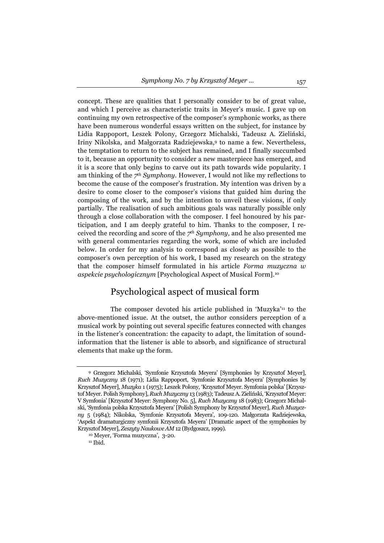concept. These are qualities that I personally consider to be of great value, and which I perceive as characteristic traits in Meyer's music. I gave up on continuing my own retrospective of the composer's symphonic works, as there have been numerous wonderful essays written on the subject, for instance by Lidia Rappoport, Leszek Polony, Grzegorz Michalski, Tadeusz A. Zieliński, Iriny Nikolska, and Małgorzata Radziejewska,9 to name a few. Nevertheless, the temptation to return to the subject has remained, and I finally succumbed to it, because an opportunity to consider a new masterpiece has emerged, and it is a score that only begins to carve out its path towards wide popularity. I am thinking of the *7th Symphony*. However, I would not like my reflections to become the cause of the composer's frustration. My intention was driven by a desire to come closer to the composer's visions that guided him during the composing of the work, and by the intention to unveil these visions, if only partially. The realisation of such ambitious goals was naturally possible only through a close collaboration with the composer. I feel honoured by his participation, and I am deeply grateful to him. Thanks to the composer, I received the recording and score of the *7th Symphony*, and he also presented me with general commentaries regarding the work, some of which are included below. In order for my analysis to correspond as closely as possible to the composer's own perception of his work, I based my research on the strategy that the composer himself formulated in his article *Forma muzyczna w aspekcie psychologicznym* [Psychological Aspect of Musical Form].10

#### Psychological aspect of musical form

The composer devoted his article published in 'Muzyka'11 to the above-mentioned issue. At the outset, the author considers perception of a musical work by pointing out several specific features connected with changes in the listener's concentration: the capacity to adapt, the limitation of soundinformation that the listener is able to absorb, and significance of structural elements that make up the form.

<sup>9</sup> Grzegorz Michalski, 'Symfonie Krzysztofa Meyera' [Symphonies by Krzysztof Meyer], *Ruch Muzyczny* 18 (1971); Lidia Rappoport, 'Symfonie Krzysztofa Meyera' [Symphonies by Krzysztof Meyer], *Muzyka* 1 (1975); Leszek Polony, 'Krzysztof Meyer. Symfonia polska' [Krzysztof Meyer. Polish Symphony], *Ruch Muzyczny* 13 (1983); Tadeusz A. Zieliński, 'Krzysztof Meyer: V Symfonia' [Krzysztof Meyer: Symphony No. 5], *Ruch Muzyczny* 18 (1983); Grzegorz Michalski, 'Symfonia polska Krzysztofa Meyera' [Polish Symphony by Krzysztof Meyer], *Ruch Muzyczny* 5 (1984); Nikolska, 'Symfonie Krzysztofa Meyera', 109-120*.* Małgorzata Radziejewska, 'Aspekt dramaturgiczny symfonii Krzysztofa Meyera' [Dramatic aspect of the symphonies by Krzysztof Meyer], *Zeszyty Naukowe AM* 12 (Bydgoszcz, 1999). 10 Meyer, 'Forma muzyczna', 3-20.

 $11$  Ibid.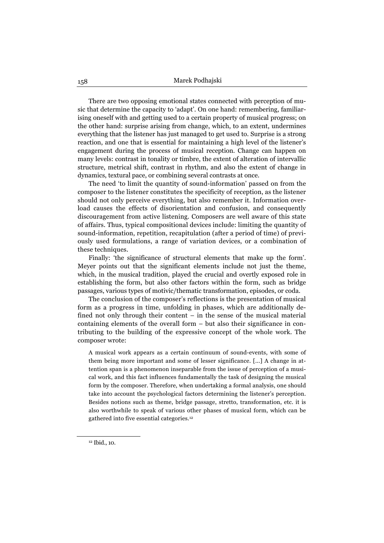There are two opposing emotional states connected with perception of music that determine the capacity to 'adapt'. On one hand: remembering, familiarising oneself with and getting used to a certain property of musical progress; on the other hand: surprise arising from change, which, to an extent, undermines everything that the listener has just managed to get used to. Surprise is a strong reaction, and one that is essential for maintaining a high level of the listener's engagement during the process of musical reception. Change can happen on many levels: contrast in tonality or timbre, the extent of alteration of intervallic structure, metrical shift, contrast in rhythm, and also the extent of change in dynamics, textural pace, or combining several contrasts at once.

The need 'to limit the quantity of sound-information' passed on from the composer to the listener constitutes the specificity of reception, as the listener should not only perceive everything, but also remember it. Information overload causes the effects of disorientation and confusion, and consequently discouragement from active listening. Composers are well aware of this state of affairs. Thus, typical compositional devices include: limiting the quantity of sound-information, repetition, recapitulation (after a period of time) of previously used formulations, a range of variation devices, or a combination of these techniques.

Finally: 'the significance of structural elements that make up the form'. Meyer points out that the significant elements include not just the theme, which, in the musical tradition, played the crucial and overtly exposed role in establishing the form, but also other factors within the form, such as bridge passages, various types of motivic/thematic transformation, episodes, or coda.

The conclusion of the composer's reflections is the presentation of musical form as a progress in time, unfolding in phases, which are additionally defined not only through their content – in the sense of the musical material containing elements of the overall form – but also their significance in contributing to the building of the expressive concept of the whole work. The composer wrote:

A musical work appears as a certain continuum of sound-events, with some of them being more important and some of lesser significance. [...] A change in attention span is a phenomenon inseparable from the issue of perception of a musical work, and this fact influences fundamentally the task of designing the musical form by the composer. Therefore, when undertaking a formal analysis, one should take into account the psychological factors determining the listener's perception. Besides notions such as theme, bridge passage, stretto, transformation, etc. it is also worthwhile to speak of various other phases of musical form, which can be gathered into five essential categories.12

<sup>12</sup> Ibid., 10.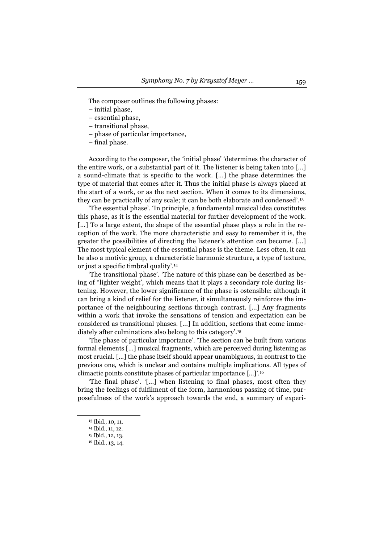The composer outlines the following phases:

- initial phase,
- essential phase,
- transitional phase,
- phase of particular importance,
- final phase.

According to the composer, the 'initial phase' 'determines the character of the entire work, or a substantial part of it. The listener is being taken into [...] a sound-climate that is specific to the work. [...] the phase determines the type of material that comes after it. Thus the initial phase is always placed at the start of a work, or as the next section. When it comes to its dimensions, they can be practically of any scale; it can be both elaborate and condensed'.13

'The essential phase'. 'In principle, a fundamental musical idea constitutes this phase, as it is the essential material for further development of the work. [...] To a large extent, the shape of the essential phase plays a role in the reception of the work. The more characteristic and easy to remember it is, the greater the possibilities of directing the listener's attention can become. [...] The most typical element of the essential phase is the theme. Less often, it can be also a motivic group, a characteristic harmonic structure, a type of texture, or just a specific timbral quality'.14

'The transitional phase'. 'The nature of this phase can be described as being of "lighter weight', which means that it plays a secondary role during listening. However, the lower significance of the phase is ostensible: although it can bring a kind of relief for the listener, it simultaneously reinforces the importance of the neighbouring sections through contrast. [...] Any fragments within a work that invoke the sensations of tension and expectation can be considered as transitional phases. [...] In addition, sections that come immediately after culminations also belong to this category'.15

'The phase of particular importance'. 'The section can be built from various formal elements [...] musical fragments, which are perceived during listening as most crucial. [...] the phase itself should appear unambiguous, in contrast to the previous one, which is unclear and contains multiple implications. All types of climactic points constitute phases of particular importance [...]'.16

'The final phase'. '[...] when listening to final phases, most often they bring the feelings of fulfilment of the form, harmonious passing of time, purposefulness of the work's approach towards the end, a summary of experi-

<sup>&</sup>lt;sup>13</sup> Ibid., 10, 11.

<sup>14</sup> Ibid., 11, 12.

<sup>15</sup> Ibid., 12, 13.

<sup>16</sup> Ibid., 13, 14.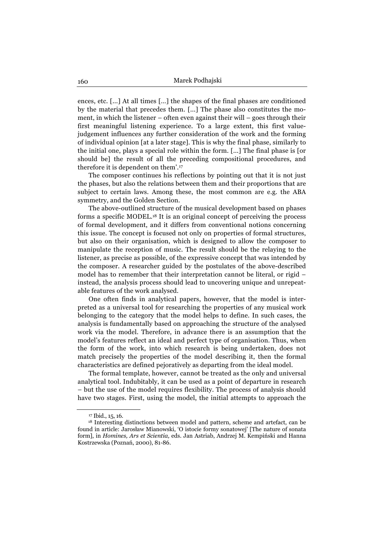ences, etc. [...] At all times […] the shapes of the final phases are conditioned by the material that precedes them. [...] The phase also constitutes the moment, in which the listener – often even against their will – goes through their first meaningful listening experience. To a large extent, this first valuejudgement influences any further consideration of the work and the forming of individual opinion [at a later stage]. This is why the final phase, similarly to the initial one, plays a special role within the form. [...] The final phase is [or should be] the result of all the preceding compositional procedures, and therefore it is dependent on them'.17

The composer continues his reflections by pointing out that it is not just the phases, but also the relations between them and their proportions that are subject to certain laws. Among these, the most common are e.g. the ABA symmetry, and the Golden Section.

The above-outlined structure of the musical development based on phases forms a specific MODEL.18 It is an original concept of perceiving the process of formal development, and it differs from conventional notions concerning this issue. The concept is focused not only on properties of formal structures, but also on their organisation, which is designed to allow the composer to manipulate the reception of music. The result should be the relaying to the listener, as precise as possible, of the expressive concept that was intended by the composer. A researcher guided by the postulates of the above-described model has to remember that their interpretation cannot be literal, or rigid – instead, the analysis process should lead to uncovering unique and unrepeatable features of the work analysed.

One often finds in analytical papers, however, that the model is interpreted as a universal tool for researching the properties of any musical work belonging to the category that the model helps to define. In such cases, the analysis is fundamentally based on approaching the structure of the analysed work via the model. Therefore, in advance there is an assumption that the model's features reflect an ideal and perfect type of organisation. Thus, when the form of the work, into which research is being undertaken, does not match precisely the properties of the model describing it, then the formal characteristics are defined pejoratively as departing from the ideal model.

The formal template, however, cannot be treated as the only and universal analytical tool. Indubitably, it can be used as a point of departure in research – but the use of the model requires flexibility. The process of analysis should have two stages. First, using the model, the initial attempts to approach the

<sup>17</sup> Ibid., 15, 16.

<sup>18</sup> Interesting distinctions between model and pattern, scheme and artefact, can be found in article: Jarosław Mianowski, 'O istocie formy sonatowej' [The nature of sonata form], in *Homines, Ars et Scientia,* eds. Jan Astriab, Andrzej M. Kempiński and Hanna Kostrzewska (Poznań, 2000), 81-86.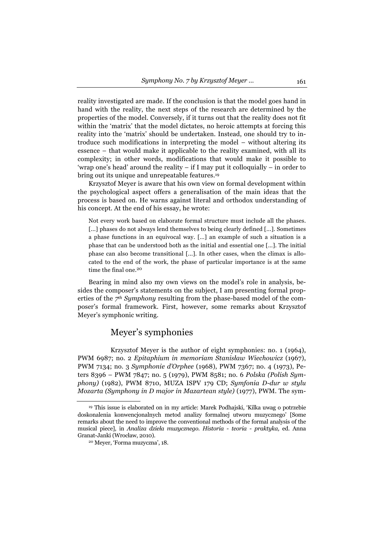reality investigated are made. If the conclusion is that the model goes hand in hand with the reality, the next steps of the research are determined by the properties of the model. Conversely, if it turns out that the reality does not fit within the 'matrix' that the model dictates, no heroic attempts at forcing this reality into the 'matrix' should be undertaken. Instead, one should try to introduce such modifications in interpreting the model – without altering its essence – that would make it applicable to the reality examined, with all its complexity; in other words, modifications that would make it possible to 'wrap one's head' around the reality – if I may put it colloquially – in order to bring out its unique and unrepeatable features.19

Krzysztof Meyer is aware that his own view on formal development within the psychological aspect offers a generalisation of the main ideas that the process is based on. He warns against literal and orthodox understanding of his concept. At the end of his essay, he wrote:

Not every work based on elaborate formal structure must include all the phases. [...] phases do not always lend themselves to being clearly defined [...]. Sometimes a phase functions in an equivocal way. […] an example of such a situation is a phase that can be understood both as the initial and essential one […]. The initial phase can also become transitional [...]. In other cases, when the climax is allocated to the end of the work, the phase of particular importance is at the same time the final one.<sup>20</sup>

Bearing in mind also my own views on the model's role in analysis, besides the composer's statements on the subject, I am presenting formal properties of the *7th Symphony* resulting from the phase-based model of the composer's formal framework. First, however, some remarks about Krzysztof Meyer's symphonic writing.

## Meyer's symphonies

Krzysztof Meyer is the author of eight symphonies: no. 1 (1964), PWM 6987; no. 2 *Epitaphium in memoriam Stanisław Wiechowicz* (1967), PWM 7134; no. 3 *Symphonie d'Orphee* (1968), PWM 7367; no. 4 (1973), Peters 8396 – PWM 7847; no. 5 (1979), PWM 8581; no. 6 *Polska (Polish Symphony)* (1982), PWM 8710, MUZA ISPV 179 CD; *Symfonia D-dur w stylu Mozarta (Symphony in D major in Mazartean style)* (1977), PWM. The sym-

<sup>19</sup> This issue is elaborated on in my article: Marek Podhajski, 'Kilka uwag o potrzebie doskonalenia konwencjonalnych metod analizy formalnej utworu muzycznego' [Some remarks about the need to improve the conventional methods of the formal analysis of the musical piece], in *Analiza dzieła muzycznego. Historia - teoria - praktyka,* ed. Anna Granat-Janki (Wrocław, 2010). 20 Meyer, 'Forma muzyczna', 18.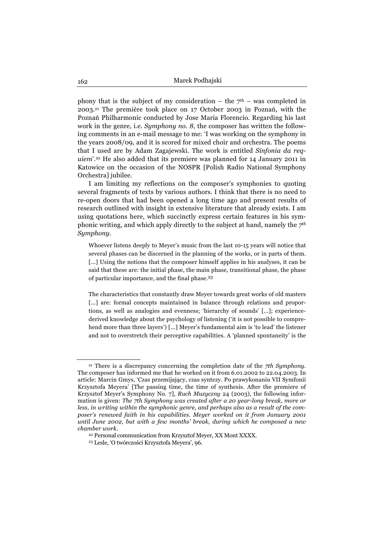phony that is the subject of my consideration – the  $7<sup>th</sup>$  – was completed in 2003.21 The première took place on 17 October 2003 in Poznań, with the Poznań Philharmonic conducted by Jose Maria Florencio. Regarding his last work in the genre, i.e. *Symphony no. 8*, the composer has written the following comments in an e-mail message to me: 'I was working on the symphony in the years 2008/09, and it is scored for mixed choir and orchestra. The poems that I used are by Adam Zagajewski. The work is entitled *Sinfonia da requiem*'*.*<sup>22</sup> He also added that its premiere was planned for 14 January 2011 in Katowice on the occasion of the NOSPR [Polish Radio National Symphony Orchestra] jubilee.

I am limiting my reflections on the composer's symphonies to quoting several fragments of texts by various authors. I think that there is no need to re-open doors that had been opened a long time ago and present results of research outlined with insight in extensive literature that already exists. I am using quotations here, which succinctly express certain features in his symphonic writing, and which apply directly to the subject at hand, namely the *7th Symphony*.

Whoever listens deeply to Meyer's music from the last 10-15 years will notice that several phases can be discerned in the planning of the works, or in parts of them. [...] Using the notions that the composer himself applies in his analyses, it can be said that these are: the initial phase, the main phase, transitional phase, the phase of particular importance, and the final phase.<sup>23</sup>

The characteristics that constantly draw Meyer towards great works of old masters [...] are: formal concepts maintained in balance through relations and proportions, as well as analogies and evenness; 'hierarchy of sounds' [...]; experiencederived knowledge about the psychology of listening ('it is not possible to comprehend more than three layers') [...] Meyer's fundamental aim is 'to lead' the listener and not to overstretch their perceptive capabilities. A 'planned spontaneity' is the

<sup>21</sup> There is a discrepancy concerning the completion date of the *7th Symphony*. The composer has informed me that he worked on it from 6.01.2002 to 22.04.2003. In article: Marcin Gmys, 'Czas przemijający, czas syntezy. Po prawykonaniu VII Symfonii Krzysztofa Meyera' [The passing time, the time of synthesis. After the premiere of Krzysztof Meyer's Symphony No. 7], *Ruch Muzyczny* 24 (2003), the following information is given: *The 7th Symphony was created after a 20 year-long break, more or less, in writing within the symphonic genre, and perhaps also as a result of the composer's renewed faith in his capabilities. Meyer worked on it from January 2001 until June 2002, but with a few months' break, during which he composed a new chamber work.* 

<sup>22</sup> Personal communication from Krzysztof Meyer, XX Mont XXXX. 23 Lesle, 'O twórczości Krzysztofa Meyera', 96.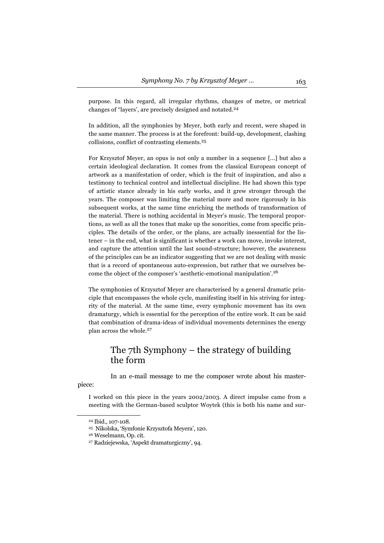purpose. In this regard, all irregular rhythms, changes of metre, or metrical changes of "layers', are precisely designed and notated.<sup>24</sup>

In addition, all the symphonies by Meyer, both early and recent, were shaped in the same manner. The process is at the forefront: build-up, development, clashing collisions, conflict of contrasting elements.<sup>25</sup>

For Krzysztof Meyer, an opus is not only a number in a sequence [...] but also a certain ideological declaration. It comes from the classical European concept of artwork as a manifestation of order, which is the fruit of inspiration, and also a testimony to technical control and intellectual discipline. He had shown this type of artistic stance already in his early works, and it grew stronger through the years. The composer was limiting the material more and more rigorously in his subsequent works, at the same time enriching the methods of transformation of the material. There is nothing accidental in Meyer's music. The temporal proportions, as well as all the tones that make up the sonorities, come from specific principles. The details of the order, or the plans, are actually inessential for the listener – in the end, what is significant is whether a work can move, invoke interest, and capture the attention until the last sound-structure; however, the awareness of the principles can be an indicator suggesting that we are not dealing with music that is a record of spontaneous auto-expression, but rather that we ourselves become the object of the composer's 'aesthetic-emotional manipulation'.<sup>26</sup>

The symphonies of Krzysztof Meyer are characterised by a general dramatic principle that encompasses the whole cycle, manifesting itself in his striving for integrity of the material. At the same time, every symphonic movement has its own dramaturgy, which is essential for the perception of the entire work. It can be said that combination of drama-ideas of individual movements determines the energy plan across the whole.<sup>27</sup>

# The 7th Symphony – the strategy of building the form

In an e-mail message to me the composer wrote about his master-

piece:

I worked on this piece in the years 2002/2003. A direct impulse came from a meeting with the German-based sculptor Woytek (this is both his name and sur-

<sup>24</sup> Ibid., 107-108.

<sup>25</sup> Nikolska, 'Symfonie Krzysztofa Meyera', 120. 26 Weselmann, Op. cit.

<sup>27</sup> Radziejewska, 'Aspekt dramaturgiczny', 94.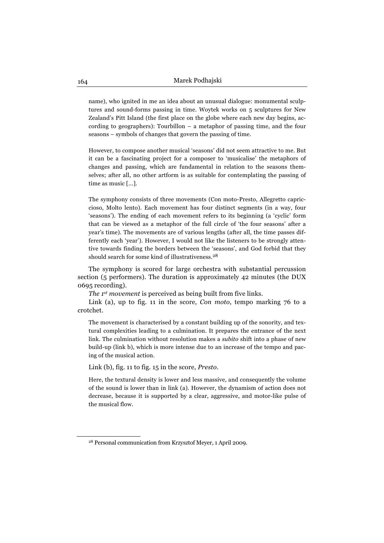name), who ignited in me an idea about an unusual dialogue: monumental sculptures and sound-forms passing in time. Woytek works on 5 sculptures for New Zealand's Pitt Island (the first place on the globe where each new day begins, according to geographers): Tourbillon – a metaphor of passing time, and the four seasons – symbols of changes that govern the passing of time.

However, to compose another musical 'seasons' did not seem attractive to me. But it can be a fascinating project for a composer to 'musicalise' the metaphors of changes and passing, which are fundamental in relation to the seasons themselves; after all, no other artform is as suitable for contemplating the passing of time as music [...].

The symphony consists of three movements (Con moto-Presto, Allegretto capriccioso, Molto lento). Each movement has four distinct segments (in a way, four 'seasons'). The ending of each movement refers to its beginning (a 'cyclic' form that can be viewed as a metaphor of the full circle of 'the four seasons' after a year's time). The movements are of various lengths (after all, the time passes differently each 'year'). However, I would not like the listeners to be strongly attentive towards finding the borders between the 'seasons', and God forbid that they should search for some kind of illustrativeness.<sup>28</sup>

The symphony is scored for large orchestra with substantial percussion section (5 performers). The duration is approximately 42 minutes (the DUX 0695 recording).

*The 1<sup>st</sup>* movement is perceived as being built from five links.

Link (a), up to fig. 11 in the score, *Con moto*, tempo marking 76 to a crotchet.

The movement is characterised by a constant building up of the sonority, and textural complexities leading to a culmination. It prepares the entrance of the next link. The culmination without resolution makes a *subito* shift into a phase of new build-up (link b), which is more intense due to an increase of the tempo and pacing of the musical action.

Link (b), fig. 11 to fig. 15 in the score, *Presto*.

Here, the textural density is lower and less massive, and consequently the volume of the sound is lower than in link (a). However, the dynamism of action does not decrease, because it is supported by a clear, aggressive, and motor-like pulse of the musical flow.

<sup>28</sup> Personal communication from Krzysztof Meyer, 1 April 2009.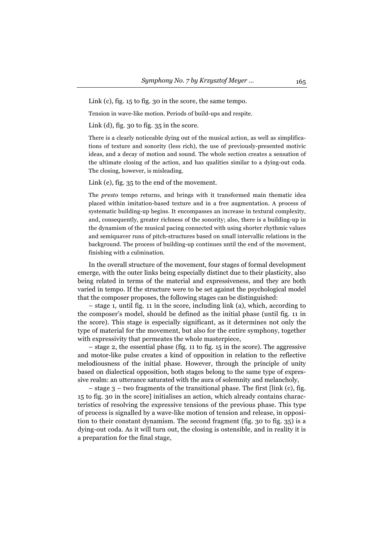Link (c), fig. 15 to fig. 30 in the score, the same tempo.

Tension in wave-like motion. Periods of build-ups and respite.

Link (d), fig. 30 to fig. 35 in the score.

There is a clearly noticeable dying out of the musical action, as well as simplifications of texture and sonority (less rich), the use of previously-presented motivic ideas, and a decay of motion and sound. The whole section creates a sensation of the ultimate closing of the action, and has qualities similar to a dying-out coda. The closing, however, is misleading.

Link (e), fig. 35 to the end of the movement.

The *presto* tempo returns, and brings with it transformed main thematic idea placed within imitation-based texture and in a free augmentation. A process of systematic building-up begins. It encompasses an increase in textural complexity, and, consequently, greater richness of the sonority; also, there is a building-up in the dynamism of the musical pacing connected with using shorter rhythmic values and semiquaver runs of pitch-structures based on small intervallic relations in the background. The process of building-up continues until the end of the movement, finishing with a culmination.

In the overall structure of the movement, four stages of formal development emerge, with the outer links being especially distinct due to their plasticity, also being related in terms of the material and expressiveness, and they are both varied in tempo. If the structure were to be set against the psychological model that the composer proposes, the following stages can be distinguished:

– stage 1, until fig. 11 in the score, including link (a), which, according to the composer's model, should be defined as the initial phase (until fig. 11 in the score). This stage is especially significant, as it determines not only the type of material for the movement, but also for the entire symphony, together with expressivity that permeates the whole masterpiece,

– stage 2, the essential phase (fig. 11 to fig. 15 in the score). The aggressive and motor-like pulse creates a kind of opposition in relation to the reflective melodiousness of the initial phase. However, through the principle of unity based on dialectical opposition, both stages belong to the same type of expressive realm: an utterance saturated with the aura of solemnity and melancholy,

– stage 3 – two fragments of the transitional phase. The first [link (c), fig. 15 to fig. 30 in the score] initialises an action, which already contains characteristics of resolving the expressive tensions of the previous phase. This type of process is signalled by a wave-like motion of tension and release, in opposition to their constant dynamism. The second fragment (fig. 30 to fig. 35) is a dying-out coda. As it will turn out, the closing is ostensible, and in reality it is a preparation for the final stage,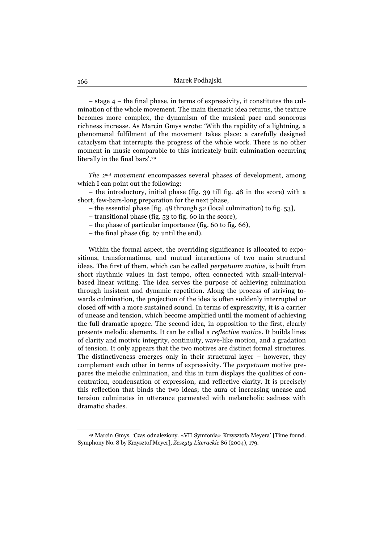– stage 4 – the final phase, in terms of expressivity, it constitutes the culmination of the whole movement. The main thematic idea returns, the texture becomes more complex, the dynamism of the musical pace and sonorous richness increase. As Marcin Gmys wrote: 'With the rapidity of a lightning, a phenomenal fulfilment of the movement takes place: a carefully designed cataclysm that interrupts the progress of the whole work. There is no other moment in music comparable to this intricately built culmination occurring literally in the final bars'.29

*The 2nd movement* encompasses several phases of development, among which I can point out the following:

– the introductory, initial phase (fig. 39 till fig. 48 in the score) with a short, few-bars-long preparation for the next phase,

- the essential phase [fig. 48 through 52 (local culmination) to fig. 53],
- transitional phase (fig. 53 to fig. 60 in the score),
- the phase of particular importance (fig. 60 to fig. 66),
- the final phase (fig. 67 until the end).

Within the formal aspect, the overriding significance is allocated to expositions, transformations, and mutual interactions of two main structural ideas. The first of them, which can be called *perpetuum motive*, is built from short rhythmic values in fast tempo, often connected with small-intervalbased linear writing. The idea serves the purpose of achieving culmination through insistent and dynamic repetition. Along the process of striving towards culmination, the projection of the idea is often suddenly interrupted or closed off with a more sustained sound. In terms of expressivity, it is a carrier of unease and tension, which become amplified until the moment of achieving the full dramatic apogee. The second idea, in opposition to the first, clearly presents melodic elements. It can be called a *reflective motive*. It builds lines of clarity and motivic integrity, continuity, wave-like motion, and a gradation of tension. It only appears that the two motives are distinct formal structures. The distinctiveness emerges only in their structural layer – however, they complement each other in terms of expressivity. The *perpetuum* motive prepares the melodic culmination, and this in turn displays the qualities of concentration, condensation of expression, and reflective clarity. It is precisely this reflection that binds the two ideas; the aura of increasing unease and tension culminates in utterance permeated with melancholic sadness with dramatic shades.

<sup>29</sup> Marcin Gmys, 'Czas odnaleziony. «VII Symfonia» Krzysztofa Meyera' [Time found. Symphony No. 8 by Krzysztof Meyer], *Zeszyty Literackie* 86 (2004), 179.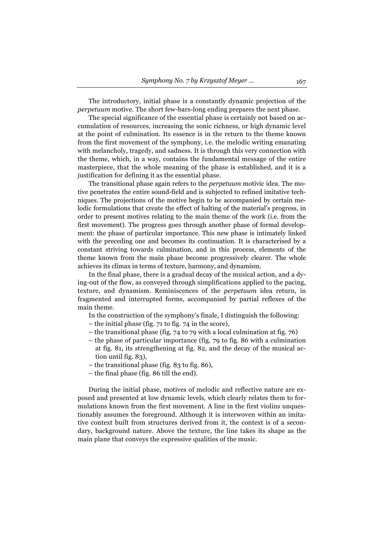The introductory, initial phase is a constantly dynamic projection of the *perpetuum* motive. The short few-bars-long ending prepares the next phase.

The special significance of the essential phase is certainly not based on accumulation of resources, increasing the sonic richness, or high dynamic level at the point of culmination. Its essence is in the return to the theme known from the first movement of the symphony, i.e. the melodic writing emanating with melancholy, tragedy, and sadness. It is through this very connection with the theme, which, in a way, contains the fundamental message of the entire masterpiece, that the whole meaning of the phase is established, and it is a justification for defining it as the essential phase.

The transitional phase again refers to the *perpetuum* motivic idea. The motive penetrates the entire sound-field and is subjected to refined imitative techniques. The projections of the motive begin to be accompanied by certain melodic formulations that create the effect of halting of the material's progress, in order to present motives relating to the main theme of the work (i.e. from the first movement). The progress goes through another phase of formal development: the phase of particular importance. This new phase is intimately linked with the preceding one and becomes its continuation. It is characterised by a constant striving towards culmination, and in this process, elements of the theme known from the main phase become progressively clearer. The whole achieves its climax in terms of texture, harmony, and dynamism.

In the final phase, there is a gradual decay of the musical action, and a dying-out of the flow, as conveyed through simplifications applied to the pacing, texture, and dynamism. Reminiscences of the *perpetuum* idea return, in fragmented and interrupted forms, accompanied by partial reflexes of the main theme.

In the construction of the symphony's finale, I distinguish the following:

- the initial phase (fig. 71 to fig. 74 in the score),
- the transitional phase (fig. 74 to 79 with a local culmination at fig. 76)
- the phase of particular importance (fig. 79 to fig. 86 with a culmination at fig. 81, its strengthening at fig. 82, and the decay of the musical action until fig. 83),
- the transitional phase (fig. 83 to fig. 86),
- the final phase (fig. 86 till the end).

During the initial phase, motives of melodic and reflective nature are exposed and presented at low dynamic levels, which clearly relates them to formulations known from the first movement. A line in the first violins unquestionably assumes the foreground. Although it is interwoven within an imitative context built from structures derived from it, the context is of a secondary, background nature. Above the texture, the line takes its shape as the main plane that conveys the expressive qualities of the music.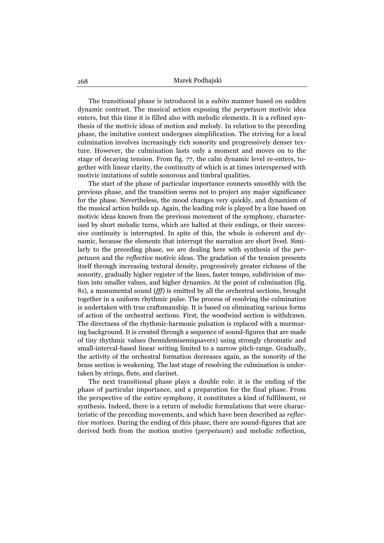The transitional phase is introduced in a *subito* manner based on sudden dynamic contrast. The musical action exposing the *perpetuum* motivic idea enters, but this time it is filled also with melodic elements. It is a refined synthesis of the motivic ideas of motion and melody. In relation to the preceding phase, the imitative context undergoes simplification. The striving for a local culmination involves increasingly rich sonority and progressively denser texture. However, the culmination lasts only a moment and moves on to the stage of decaying tension. From fig. 77, the calm dynamic level re-enters, together with linear clarity, the continuity of which is at times interspersed with motivic imitations of subtle sonorous and timbral qualities.

The start of the phase of particular importance connects smoothly with the previous phase, and the transition seems not to project any major significance for the phase. Nevertheless, the mood changes very quickly, and dynamism of the musical action builds up. Again, the leading role is played by a line based on motivic ideas known from the previous movement of the symphony, characterised by short melodic turns, which are halted at their endings, or their successive continuity is interrupted. In spite of this, the whole is coherent and dynamic, because the elements that interrupt the narration are short lived. Similarly to the preceding phase, we are dealing here with synthesis of the *perpetuum* and the *reflective* motivic ideas. The gradation of the tension presents itself through increasing textural density, progressively greater richness of the sonority, gradually higher register of the lines, faster tempo, subdivision of motion into smaller values, and higher dynamics. At the point of culmination (fig. 81), a monumental sound (*fff*) is emitted by all the orchestral sections, brought together in a uniform rhythmic pulse. The process of resolving the culmination is undertaken with true craftsmanship. It is based on eliminating various forms of action of the orchestral sections. First, the woodwind section is withdrawn. The directness of the rhythmic-harmonic pulsation is replaced with a murmuring background. It is created through a sequence of sound-figures that are made of tiny rhythmic values (hemidemisemiquavers) using strongly chromatic and small-interval-based linear writing limited to a narrow pitch-range. Gradually, the activity of the orchestral formation decreases again, as the sonority of the brass section is weakening. The last stage of resolving the culmination is undertaken by strings, flute, and clarinet.

The next transitional phase plays a double role: it is the ending of the phase of particular importance, and a preparation for the final phase. From the perspective of the entire symphony, it constitutes a kind of fulfilment, or synthesis. Indeed, there is a return of melodic formulations that were characteristic of the preceding movements, and which have been described as *reflective motives*. During the ending of this phase, there are sound-figures that are derived both from the motion motive (*perpetuum*) and melodic reflection,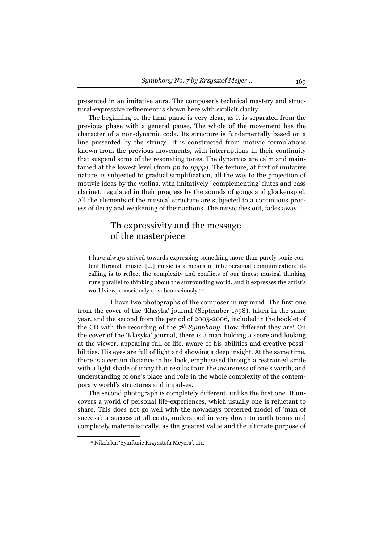presented in an imitative aura. The composer's technical mastery and structural-expressive refinement is shown here with explicit clarity.

The beginning of the final phase is very clear, as it is separated from the previous phase with a general pause. The whole of the movement has the character of a non-dynamic coda. Its structure is fundamentally based on a line presented by the strings. It is constructed from motivic formulations known from the previous movements, with interruptions in their continuity that suspend some of the resonating tones. The dynamics are calm and maintained at the lowest level (from *pp* to *pppp*). The texture, at first of imitative nature, is subjected to gradual simplification, all the way to the projection of motivic ideas by the violins, with imitatively "complementing' flutes and bass clarinet, regulated in their progress by the sounds of gongs and glockenspiel. All the elements of the musical structure are subjected to a continuous process of decay and weakening of their actions. The music dies out, fades away.

## Th expressivity and the message of the masterpiece

I have always strived towards expressing something more than purely sonic content through music. [...] music is a means of interpersonal communication; its calling is to reflect the complexity and conflicts of our times; musical thinking runs parallel to thinking about the surrounding world, and it expresses the artist's worldview, consciously or subconsciously.30

I have two photographs of the composer in my mind. The first one from the cover of the 'Klasyka' journal (September 1998), taken in the same year, and the second from the period of 2005-2006, included in the booklet of the CD with the recording of the *7th Symphony*. How different they are! On the cover of the 'Klasyka' journal, there is a man holding a score and looking at the viewer, appearing full of life, aware of his abilities and creative possibilities. His eyes are full of light and showing a deep insight. At the same time, there is a certain distance in his look, emphasised through a restrained smile with a light shade of irony that results from the awareness of one's worth, and understanding of one's place and role in the whole complexity of the contemporary world's structures and impulses.

The second photograph is completely different, unlike the first one. It uncovers a world of personal life-experiences, which usually one is reluctant to share. This does not go well with the nowadays preferred model of 'man of success': a success at all costs, understood in very down-to-earth terms and completely materialistically, as the greatest value and the ultimate purpose of

<sup>30</sup> Nikolska, 'Symfonie Krzysztofa Meyera', 111.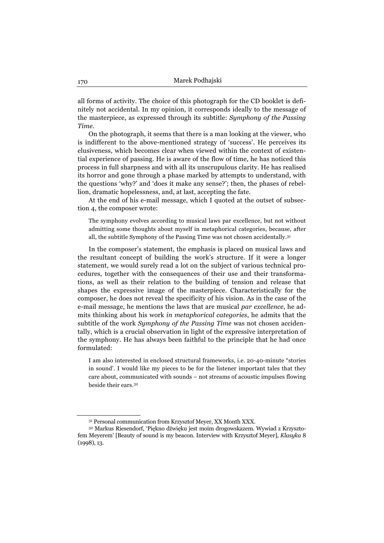all forms of activity. The choice of this photograph for the CD booklet is definitely not accidental. In my opinion, it corresponds ideally to the message of the masterpiece, as expressed through its subtitle: *Symphony of the Passing Time*.

On the photograph, it seems that there is a man looking at the viewer, who is indifferent to the above-mentioned strategy of 'success'. He perceives its elusiveness, which becomes clear when viewed within the context of existential experience of passing. He is aware of the flow of time, he has noticed this process in full sharpness and with all its unscrupulous clarity. He has realised its horror and gone through a phase marked by attempts to understand, with the questions 'why?' and 'does it make any sense?'; then, the phases of rebellion, dramatic hopelessness, and, at last, accepting the fate.

At the end of his e-mail message, which I quoted at the outset of subsection 4, the composer wrote:

The symphony evolves according to musical laws par excellence, but not without admitting some thoughts about myself in metaphorical categories, because, after all, the subtitle Symphony of the Passing Time was not chosen accidentally.31

In the composer's statement, the emphasis is placed on musical laws and the resultant concept of building the work's structure. If it were a longer statement, we would surely read a lot on the subject of various technical procedures, together with the consequences of their use and their transformations, as well as their relation to the building of tension and release that shapes the expressive image of the masterpiece. Characteristically for the composer, he does not reveal the specificity of his vision. As in the case of the e-mail message, he mentions the laws that are musical *par excellence*, he admits thinking about his work *in metaphorical categories*, he admits that the subtitle of the work *Symphony of the Passing Time* was not chosen accidentally, which is a crucial observation in light of the expressive interpretation of the symphony. He has always been faithful to the principle that he had once formulated:

I am also interested in enclosed structural frameworks, i.e. 20-40-minute "stories in sound'. I would like my pieces to be for the listener important tales that they care about, communicated with sounds – not streams of acoustic impulses flowing beside their ears.32

<sup>31</sup> Personal communication from Krzysztof Meyer, XX Month XXX. 32 Markus Riesendorf, 'Piękno dźwięku jest moim drogowskazem. Wywiad z Krzysztofem Meyerem' [Beauty of sound is my beacon. Interview with Krzysztof Meyer], *Klasyka* 8 (1998), 13.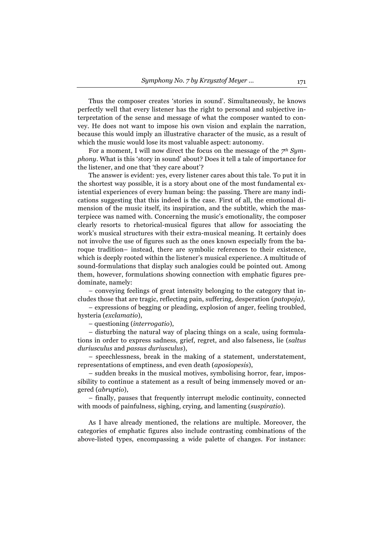Thus the composer creates 'stories in sound'. Simultaneously, he knows perfectly well that every listener has the right to personal and subjective interpretation of the sense and message of what the composer wanted to convey. He does not want to impose his own vision and explain the narration, because this would imply an illustrative character of the music, as a result of which the music would lose its most valuable aspect: autonomy.

For a moment, I will now direct the focus on the message of the *7th Symphony*. What is this 'story in sound' about? Does it tell a tale of importance for the listener, and one that 'they care about'?

The answer is evident: yes, every listener cares about this tale. To put it in the shortest way possible, it is a story about one of the most fundamental existential experiences of every human being: the passing. There are many indications suggesting that this indeed is the case. First of all, the emotional dimension of the music itself, its inspiration, and the subtitle, which the masterpiece was named with. Concerning the music's emotionality, the composer clearly resorts to rhetorical-musical figures that allow for associating the work's musical structures with their extra-musical meaning. It certainly does not involve the use of figures such as the ones known especially from the baroque tradition– instead, there are symbolic references to their existence, which is deeply rooted within the listener's musical experience. A multitude of sound-formulations that display such analogies could be pointed out. Among them, however, formulations showing connection with emphatic figures predominate, namely:

– conveying feelings of great intensity belonging to the category that includes those that are tragic, reflecting pain, suffering, desperation (*patopoja)*,

– expressions of begging or pleading, explosion of anger, feeling troubled, hysteria (*exclamatio*),

– questioning (*interrogatio*),

– disturbing the natural way of placing things on a scale, using formulations in order to express sadness, grief, regret, and also falseness, lie (*saltus duriusculus* and *passus duriusculus*),

– speechlessness, break in the making of a statement, understatement, representations of emptiness, and even death (*aposiopesis*),

– sudden breaks in the musical motives, symbolising horror, fear, impossibility to continue a statement as a result of being immensely moved or angered (*abruptio*),

– finally, pauses that frequently interrupt melodic continuity, connected with moods of painfulness, sighing, crying, and lamenting (*suspiratio*).

As I have already mentioned, the relations are multiple. Moreover, the categories of emphatic figures also include contrasting combinations of the above-listed types, encompassing a wide palette of changes. For instance: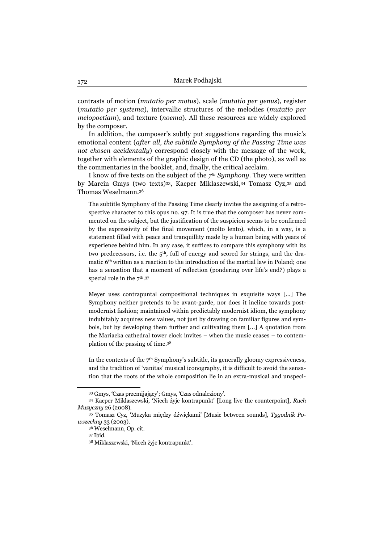contrasts of motion (*mutatio per motus*), scale (*mutatio per genus*), register (*mutatio per systema*), intervallic structures of the melodies (*mutatio per melopoetiam*), and texture (*noema*). All these resources are widely explored by the composer.

In addition, the composer's subtly put suggestions regarding the music's emotional content (*after all, the subtitle Symphony of the Passing Time was not chosen accidentally*) correspond closely with the message of the work, together with elements of the graphic design of the CD (the photo), as well as the commentaries in the booklet, and, finally, the critical acclaim.

I know of five texts on the subject of the *7th Symphony*. They were written by Marcin Gmys (two texts)33, Kacper Miklaszewski,34 Tomasz Cyz,35 and Thomas Weselmann.36

The subtitle Symphony of the Passing Time clearly invites the assigning of a retrospective character to this opus no. 97. It is true that the composer has never commented on the subject, but the justification of the suspicion seems to be confirmed by the expressivity of the final movement (molto lento), which, in a way, is a statement filled with peace and tranquillity made by a human being with years of experience behind him. In any case, it suffices to compare this symphony with its two predecessors, i.e. the 5<sup>th</sup>, full of energy and scored for strings, and the dramatic 6th written as a reaction to the introduction of the martial law in Poland; one has a sensation that a moment of reflection (pondering over life's end?) plays a special role in the  $7<sup>th</sup>$ .<sup>37</sup>

Meyer uses contrapuntal compositional techniques in exquisite ways [...] The Symphony neither pretends to be avant-garde, nor does it incline towards postmodernist fashion; maintained within predictably modernist idiom, the symphony indubitably acquires new values, not just by drawing on familiar figures and symbols, but by developing them further and cultivating them [...] A quotation from the Mariacka cathedral tower clock invites – when the music ceases – to contemplation of the passing of time.38

In the contexts of the  $7<sup>th</sup>$  Symphony's subtitle, its generally gloomy expressiveness, and the tradition of 'vanitas' musical iconography, it is difficult to avoid the sensation that the roots of the whole composition lie in an extra-musical and unspeci-

<sup>33</sup> Gmys, 'Czas przemijający'; Gmys, 'Czas odnaleziony'. 34 Kacper Miklaszewski, 'Niech żyje kontrapunkt' [Long live the counterpoint], *Ruch Muzyczny* 26 (2008). 35 Tomasz Cyz, 'Muzyka między dźwiękami' [Music between sounds], *Tygodnik Po-*

*wszechny* 33 (2003).

<sup>36</sup> Weselmann, Op. cit.

<sup>37</sup> Ibid.

<sup>38</sup> Miklaszewski, 'Niech żyje kontrapunkt'.